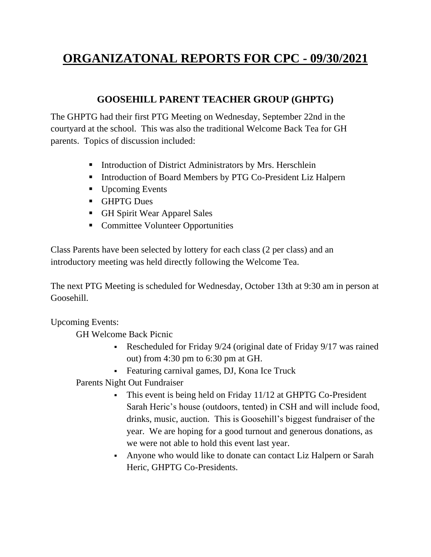# **ORGANIZATONAL REPORTS FOR CPC - 09/30/2021**

#### **GOOSEHILL PARENT TEACHER GROUP (GHPTG)**

The GHPTG had their first PTG Meeting on Wednesday, September 22nd in the courtyard at the school. This was also the traditional Welcome Back Tea for GH parents. Topics of discussion included:

- Introduction of District Administrators by Mrs. Herschlein
- Introduction of Board Members by PTG Co-President Liz Halpern
- Upcoming Events
- GHPTG Dues
- GH Spirit Wear Apparel Sales
- Committee Volunteer Opportunities

Class Parents have been selected by lottery for each class (2 per class) and an introductory meeting was held directly following the Welcome Tea.

The next PTG Meeting is scheduled for Wednesday, October 13th at 9:30 am in person at Goosehill.

Upcoming Events:

GH Welcome Back Picnic

- Rescheduled for Friday 9/24 (original date of Friday 9/17 was rained out) from 4:30 pm to 6:30 pm at GH.
- **•** Featuring carnival games, DJ, Kona Ice Truck

Parents Night Out Fundraiser

- **•** This event is being held on Friday 11/12 at GHPTG Co-President Sarah Heric's house (outdoors, tented) in CSH and will include food, drinks, music, auction. This is Goosehill's biggest fundraiser of the year. We are hoping for a good turnout and generous donations, as we were not able to hold this event last year.
- Anyone who would like to donate can contact Liz Halpern or Sarah Heric, GHPTG Co-Presidents.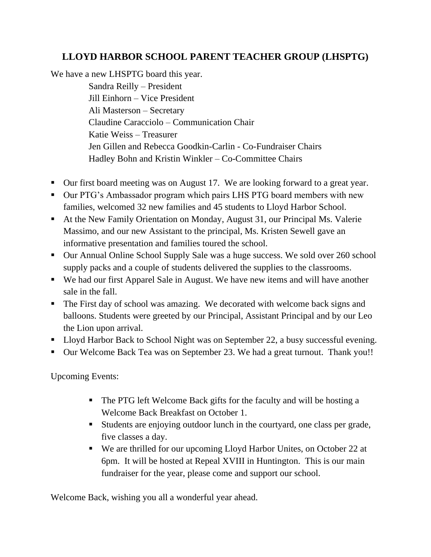# **LLOYD HARBOR SCHOOL PARENT TEACHER GROUP (LHSPTG)**

We have a new LHSPTG board this year. Sandra Reilly – President Jill Einhorn – Vice President Ali Masterson – Secretary Claudine Caracciolo – Communication Chair Katie Weiss – Treasurer Jen Gillen and Rebecca Goodkin-Carlin - Co-Fundraiser Chairs Hadley Bohn and Kristin Winkler – Co-Committee Chairs

- Our first board meeting was on August 17. We are looking forward to a great year.
- Our PTG's Ambassador program which pairs LHS PTG board members with new families, welcomed 32 new families and 45 students to Lloyd Harbor School.
- At the New Family Orientation on Monday, August 31, our Principal Ms. Valerie Massimo, and our new Assistant to the principal, Ms. Kristen Sewell gave an informative presentation and families toured the school.
- Our Annual Online School Supply Sale was a huge success. We sold over 260 school supply packs and a couple of students delivered the supplies to the classrooms.
- We had our first Apparel Sale in August. We have new items and will have another sale in the fall.
- The First day of school was amazing. We decorated with welcome back signs and balloons. Students were greeted by our Principal, Assistant Principal and by our Leo the Lion upon arrival.
- Lloyd Harbor Back to School Night was on September 22, a busy successful evening.
- Our Welcome Back Tea was on September 23. We had a great turnout. Thank you!!

Upcoming Events:

- The PTG left Welcome Back gifts for the faculty and will be hosting a Welcome Back Breakfast on October 1.
- Students are enjoying outdoor lunch in the courtyard, one class per grade, five classes a day.
- We are thrilled for our upcoming Lloyd Harbor Unites, on October 22 at 6pm. It will be hosted at Repeal XVIII in Huntington. This is our main fundraiser for the year, please come and support our school.

Welcome Back, wishing you all a wonderful year ahead.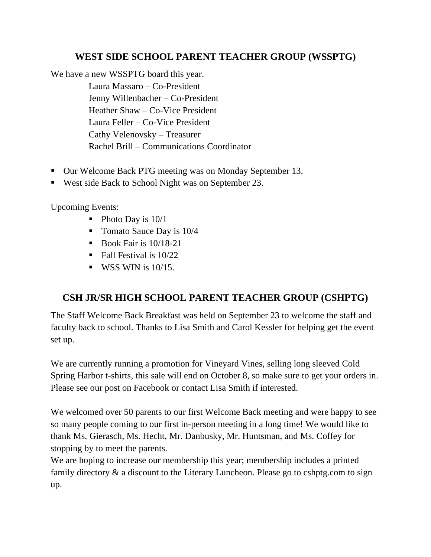## **WEST SIDE SCHOOL PARENT TEACHER GROUP (WSSPTG)**

We have a new WSSPTG board this year.

Laura Massaro – Co-President Jenny Willenbacher – Co-President Heather Shaw – Co-Vice President Laura Feller – Co-Vice President Cathy Velenovsky – Treasurer Rachel Brill – Communications Coordinator

- Our Welcome Back PTG meeting was on Monday September 13.
- West side Back to School Night was on September 23.

Upcoming Events:

- $\blacksquare$  Photo Day is 10/1
- Tomato Sauce Day is 10/4
- $\blacksquare$  Book Fair is 10/18-21
- $\blacksquare$  Fall Festival is 10/22
- $\blacksquare$  WSS WIN is 10/15.

# **CSH JR/SR HIGH SCHOOL PARENT TEACHER GROUP (CSHPTG)**

The Staff Welcome Back Breakfast was held on September 23 to welcome the staff and faculty back to school. Thanks to Lisa Smith and Carol Kessler for helping get the event set up.

We are currently running a promotion for Vineyard Vines, selling long sleeved Cold Spring Harbor t-shirts, this sale will end on October 8, so make sure to get your orders in. Please see our post on Facebook or contact Lisa Smith if interested.

We welcomed over 50 parents to our first Welcome Back meeting and were happy to see so many people coming to our first in-person meeting in a long time! We would like to thank Ms. Gierasch, Ms. Hecht, Mr. Danbusky, Mr. Huntsman, and Ms. Coffey for stopping by to meet the parents.

We are hoping to increase our membership this year; membership includes a printed family directory & a discount to the Literary Luncheon. Please go to [cshptg.com](https://na01.safelinks.protection.outlook.com/?url=http%3A%2F%2Fcshptg.com%2F&data=04%7C01%7C%7Cbc179c8d1df04638a80508d97ec47cb4%7C84df9e7fe9f640afb435aaaaaaaaaaaa%7C1%7C0%7C637680204673922181%7CUnknown%7CTWFpbGZsb3d8eyJWIjoiMC4wLjAwMDAiLCJQIjoiV2luMzIiLCJBTiI6Ik1haWwiLCJXVCI6Mn0%3D%7C1000&sdata=%2FwpFG8AJ4cAXAEPDVrD6fvSPMr%2FoLpC6wqTL%2BaplnkU%3D&reserved=0) to sign up.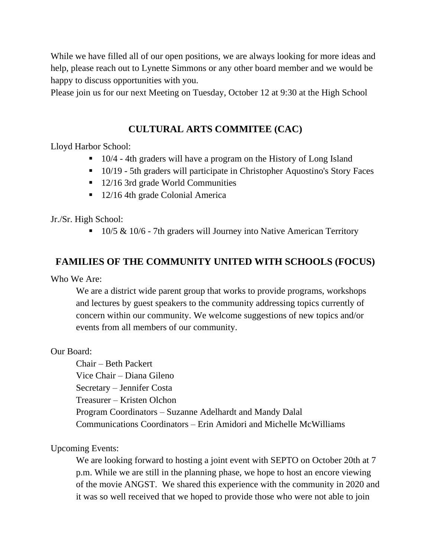While we have filled all of our open positions, we are always looking for more ideas and help, please reach out to Lynette Simmons or any other board member and we would be happy to discuss opportunities with you.

Please join us for our next Meeting on Tuesday, October 12 at 9:30 at the High School

## **CULTURAL ARTS COMMITEE (CAC)**

Lloyd Harbor School:

- 10/4 4th graders will have a program on the History of Long Island
- 10/19 5th graders will participate in Christopher Aquostino's Story Faces
- 12/16 3rd grade World Communities
- 12/16 4th grade Colonial America

Jr./Sr. High School:

■ 10/5 & 10/6 - 7th graders will Journey into Native American Territory

#### **FAMILIES OF THE COMMUNITY UNITED WITH SCHOOLS (FOCUS)**

Who We Are:

We are a district wide parent group that works to provide programs, workshops and lectures by guest speakers to the community addressing topics currently of concern within our community. We welcome suggestions of new topics and/or events from all members of our community.

Our Board:

Chair – Beth Packert Vice Chair – Diana Gileno Secretary – Jennifer Costa Treasurer – Kristen Olchon Program Coordinators – Suzanne Adelhardt and Mandy Dalal Communications Coordinators – Erin Amidori and Michelle McWilliams

Upcoming Events:

We are looking forward to hosting a joint event with SEPTO on October 20th at 7 p.m. While we are still in the planning phase, we hope to host an encore viewing of the movie ANGST. We shared this experience with the community in 2020 and it was so well received that we hoped to provide those who were not able to join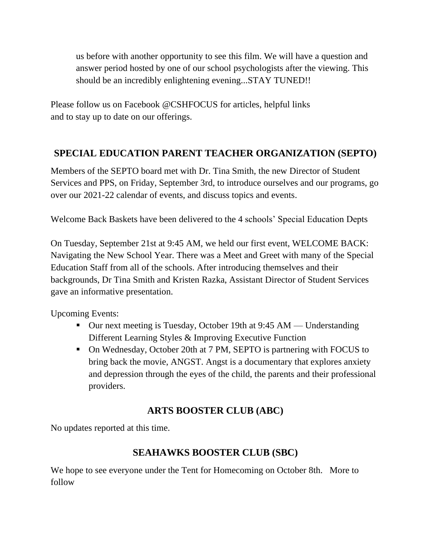us before with another opportunity to see this film. We will have a question and answer period hosted by one of our school psychologists after the viewing. This should be an incredibly enlightening evening...STAY TUNED!!

Please follow us on Facebook @CSHFOCUS for articles, helpful links and to stay up to date on our offerings.

# **SPECIAL EDUCATION PARENT TEACHER ORGANIZATION (SEPTO)**

Members of the SEPTO board met with Dr. Tina Smith, the new Director of Student Services and PPS, on Friday, September 3rd, to introduce ourselves and our programs, go over our 2021-22 calendar of events, and discuss topics and events.

Welcome Back Baskets have been delivered to the 4 schools' Special Education Depts

On Tuesday, September 21st at 9:45 AM, we held our first event, WELCOME BACK: Navigating the New School Year. There was a Meet and Greet with many of the Special Education Staff from all of the schools. After introducing themselves and their backgrounds, Dr Tina Smith and Kristen Razka, Assistant Director of Student Services gave an informative presentation.

Upcoming Events:

- Our next meeting is Tuesday, October 19th at 9:45 AM Understanding Different Learning Styles & Improving Executive Function
- On Wednesday, October 20th at 7 PM, SEPTO is partnering with FOCUS to bring back the movie, ANGST. Angst is a documentary that explores anxiety and depression through the eyes of the child, the parents and their professional providers.

# **ARTS BOOSTER CLUB (ABC)**

No updates reported at this time.

## **SEAHAWKS BOOSTER CLUB (SBC)**

We hope to see everyone under the Tent for Homecoming on October 8th. More to follow